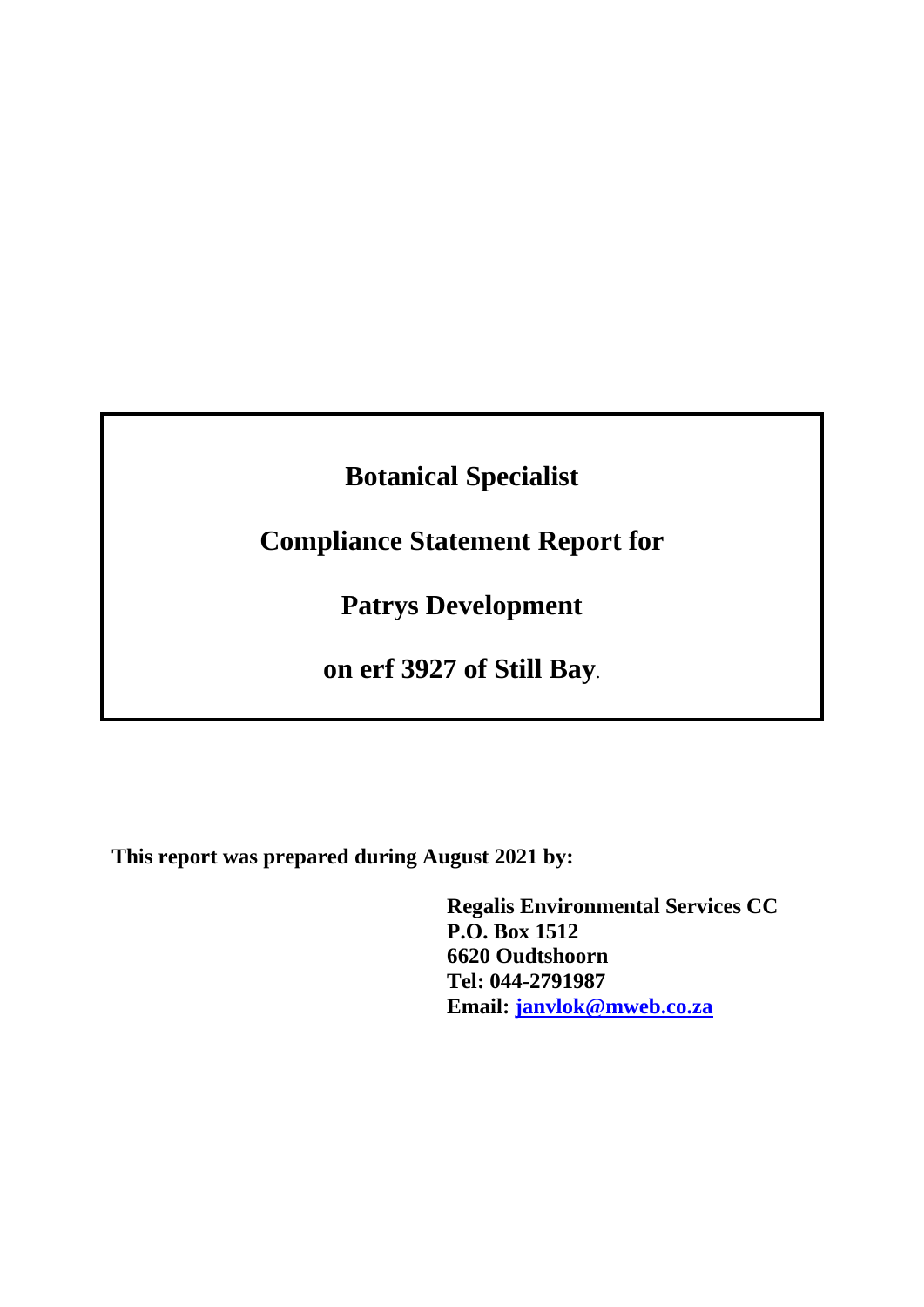# **Botanical Specialist**

# **Compliance Statement Report for**

**Patrys Development**

**on erf 3927 of Still Bay**.

**This report was prepared during August 2021 by:**

**Regalis Environmental Services CC P.O. Box 1512 6620 Oudtshoorn Tel: 044-2791987 Email: [janvlok@mweb.co.za](mailto:janvlok@mweb.co.za)**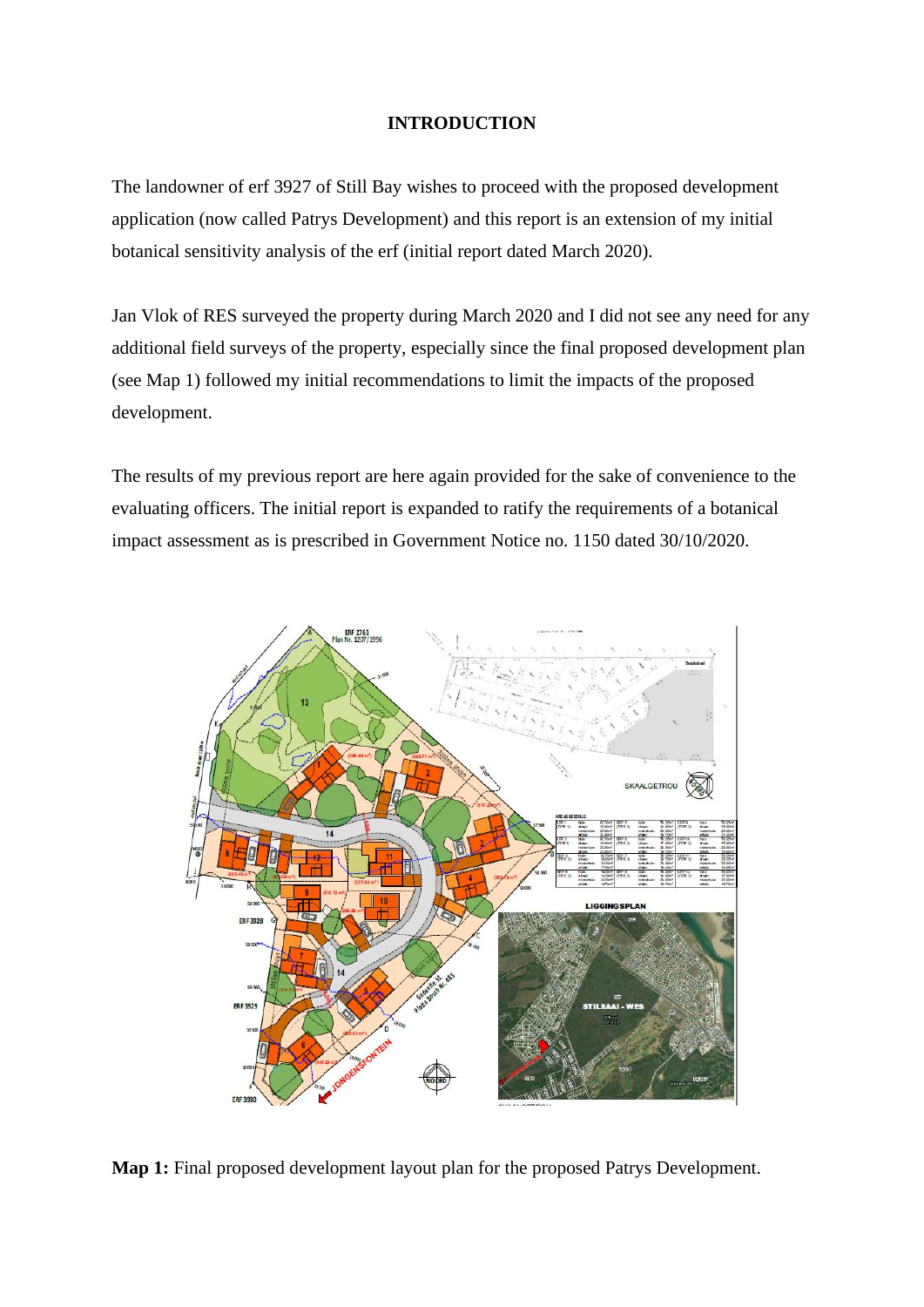#### **INTRODUCTION**

The landowner of erf 3927 of Still Bay wishes to proceed with the proposed development application (now called Patrys Development) and this report is an extension of my initial botanical sensitivity analysis of the erf (initial report dated March 2020).

Jan Vlok of RES surveyed the property during March 2020 and I did not see any need for any additional field surveys of the property, especially since the final proposed development plan (see Map 1) followed my initial recommendations to limit the impacts of the proposed development.

The results of my previous report are here again provided for the sake of convenience to the evaluating officers. The initial report is expanded to ratify the requirements of a botanical impact assessment as is prescribed in Government Notice no. 1150 dated 30/10/2020.



**Map 1:** Final proposed development layout plan for the proposed Patrys Development.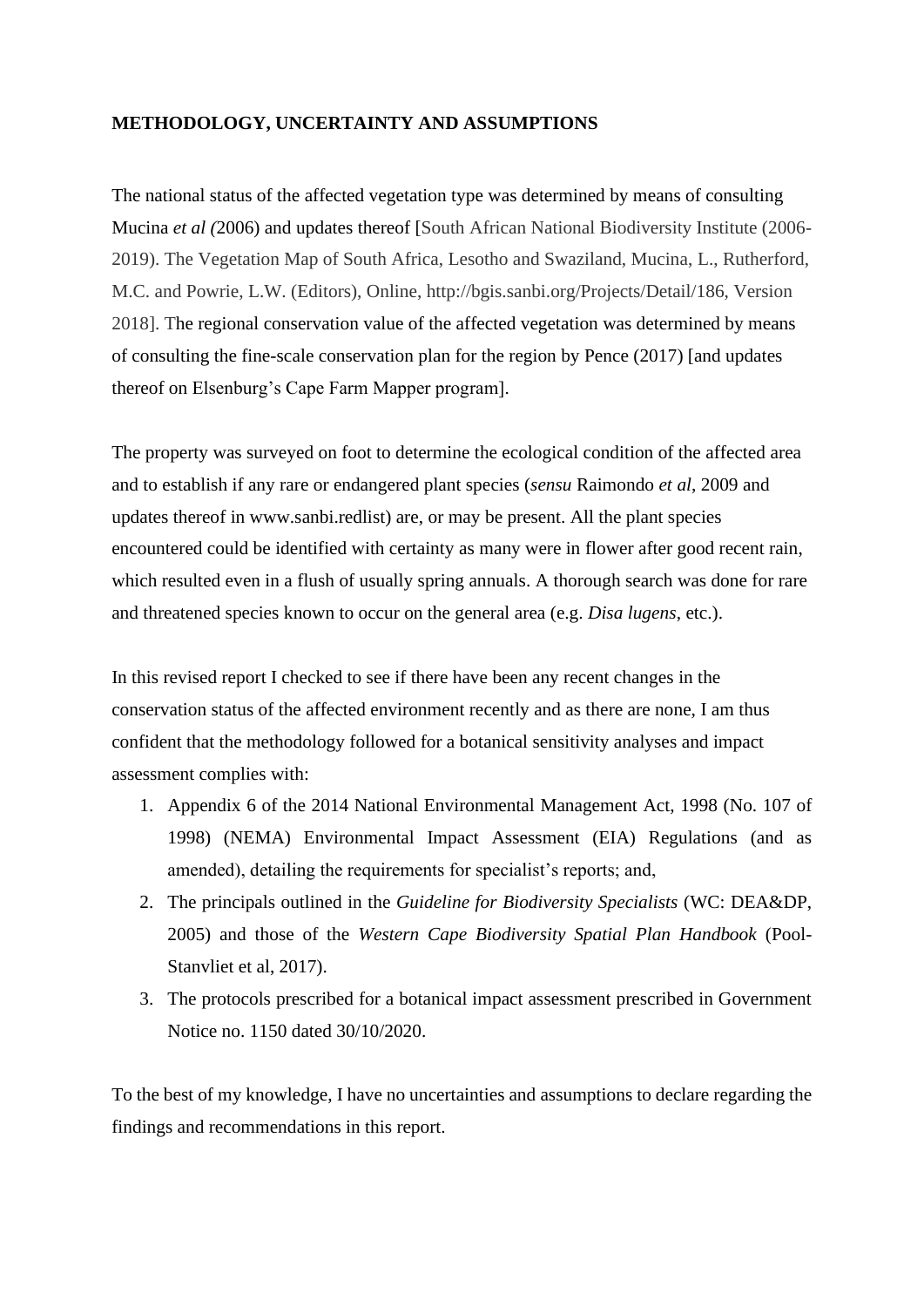### **METHODOLOGY, UNCERTAINTY AND ASSUMPTIONS**

The national status of the affected vegetation type was determined by means of consulting Mucina *et al (*2006) and updates thereof [South African National Biodiversity Institute (2006- 2019). The Vegetation Map of South Africa, Lesotho and Swaziland, Mucina, L., Rutherford, M.C. and Powrie, L.W. (Editors), Online, http://bgis.sanbi.org/Projects/Detail/186, Version 2018]. The regional conservation value of the affected vegetation was determined by means of consulting the fine-scale conservation plan for the region by Pence (2017) [and updates thereof on Elsenburg's Cape Farm Mapper program].

The property was surveyed on foot to determine the ecological condition of the affected area and to establish if any rare or endangered plant species (*sensu* Raimondo *et al*, 2009 and updates thereof in www.sanbi.redlist) are, or may be present. All the plant species encountered could be identified with certainty as many were in flower after good recent rain, which resulted even in a flush of usually spring annuals. A thorough search was done for rare and threatened species known to occur on the general area (e.g. *Disa lugens*, etc.).

In this revised report I checked to see if there have been any recent changes in the conservation status of the affected environment recently and as there are none, I am thus confident that the methodology followed for a botanical sensitivity analyses and impact assessment complies with:

- 1. Appendix 6 of the 2014 National Environmental Management Act, 1998 (No. 107 of 1998) (NEMA) Environmental Impact Assessment (EIA) Regulations (and as amended), detailing the requirements for specialist's reports; and,
- 2. The principals outlined in the *Guideline for Biodiversity Specialists* (WC: DEA&DP, 2005) and those of the *Western Cape Biodiversity Spatial Plan Handbook* (Pool-Stanvliet et al, 2017).
- 3. The protocols prescribed for a botanical impact assessment prescribed in Government Notice no. 1150 dated 30/10/2020.

To the best of my knowledge, I have no uncertainties and assumptions to declare regarding the findings and recommendations in this report.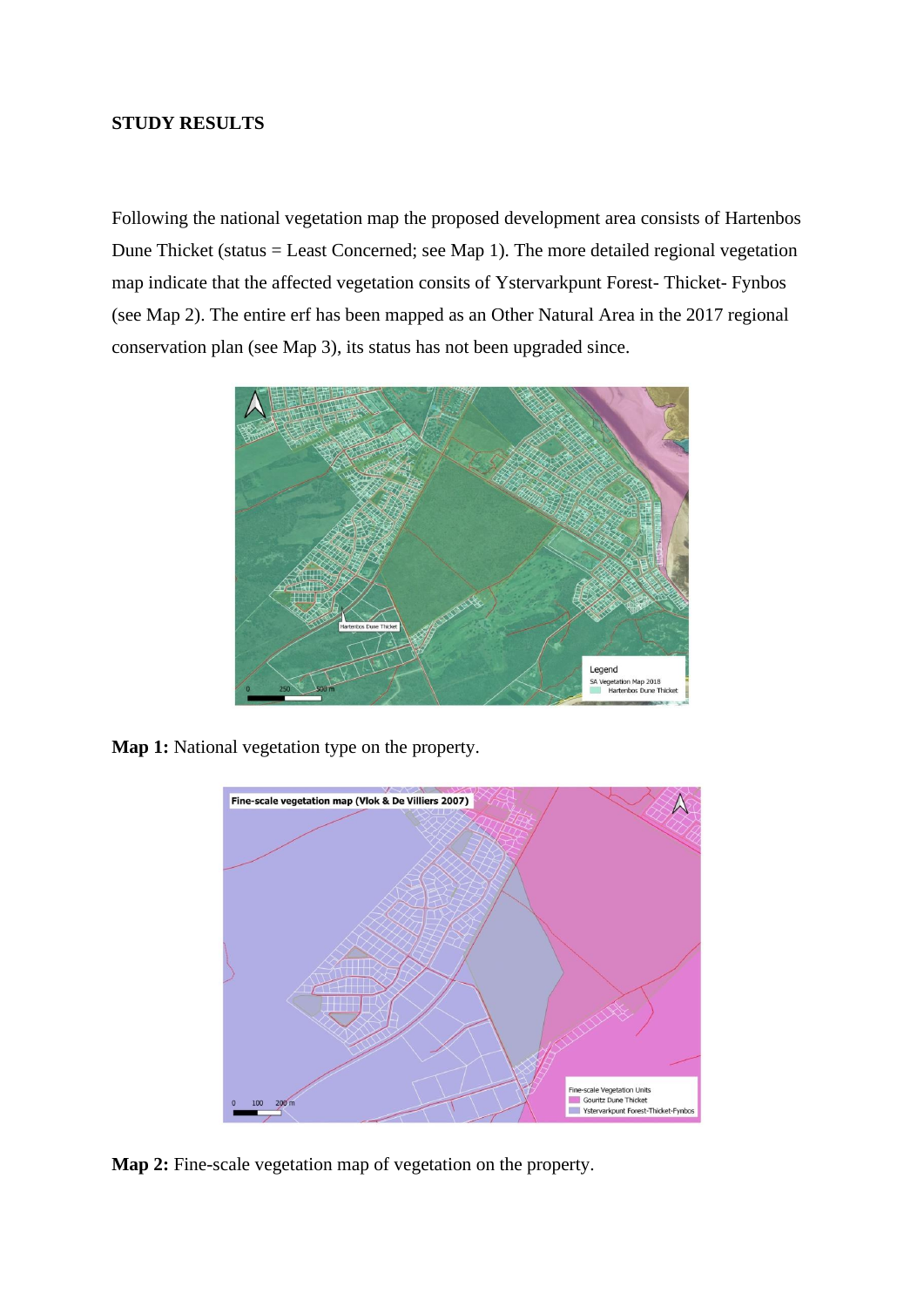#### **STUDY RESULTS**

Following the national vegetation map the proposed development area consists of Hartenbos Dune Thicket (status = Least Concerned; see Map 1). The more detailed regional vegetation map indicate that the affected vegetation consits of Ystervarkpunt Forest- Thicket- Fynbos (see Map 2). The entire erf has been mapped as an Other Natural Area in the 2017 regional conservation plan (see Map 3), its status has not been upgraded since.



**Map 1:** National vegetation type on the property.



**Map 2:** Fine-scale vegetation map of vegetation on the property.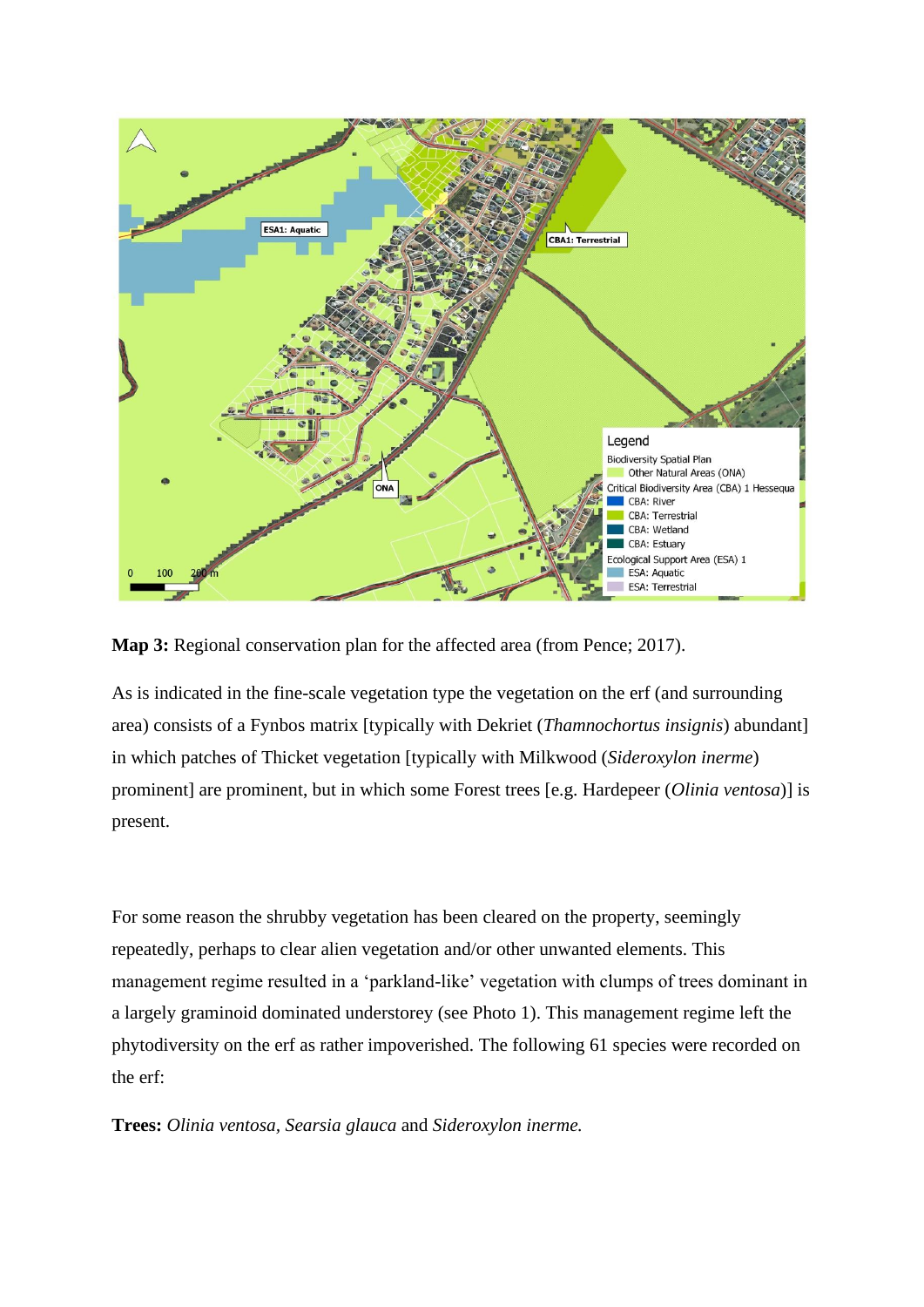

**Map 3:** Regional conservation plan for the affected area (from Pence; 2017).

As is indicated in the fine-scale vegetation type the vegetation on the erf (and surrounding area) consists of a Fynbos matrix [typically with Dekriet (*Thamnochortus insignis*) abundant] in which patches of Thicket vegetation [typically with Milkwood (*Sideroxylon inerme*) prominent] are prominent, but in which some Forest trees [e.g. Hardepeer (*Olinia ventosa*)] is present.

For some reason the shrubby vegetation has been cleared on the property, seemingly repeatedly, perhaps to clear alien vegetation and/or other unwanted elements. This management regime resulted in a 'parkland-like' vegetation with clumps of trees dominant in a largely graminoid dominated understorey (see Photo 1). This management regime left the phytodiversity on the erf as rather impoverished. The following 61 species were recorded on the erf:

**Trees:** *Olinia ventosa, Searsia glauca* and *Sideroxylon inerme.*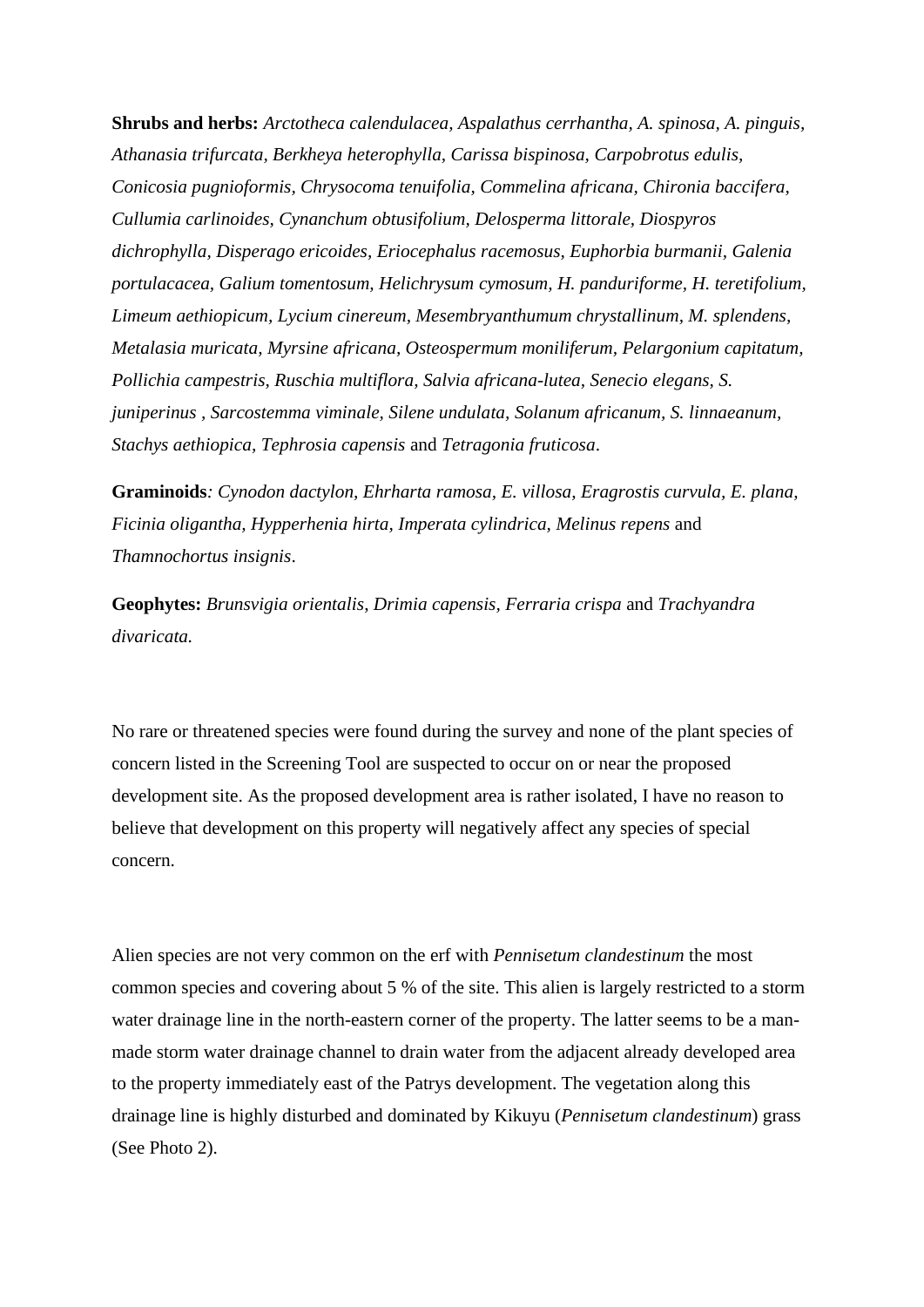**Shrubs and herbs:** *Arctotheca calendulacea, Aspalathus cerrhantha, A. spinosa, A. pinguis, Athanasia trifurcata, Berkheya heterophylla, Carissa bispinosa, Carpobrotus edulis, Conicosia pugnioformis, Chrysocoma tenuifolia, Commelina africana, Chironia baccifera, Cullumia carlinoides, Cynanchum obtusifolium, Delosperma littorale, Diospyros dichrophylla, Disperago ericoides, Eriocephalus racemosus, Euphorbia burmanii, Galenia portulacacea, Galium tomentosum, Helichrysum cymosum, H. panduriforme, H. teretifolium, Limeum aethiopicum, Lycium cinereum, Mesembryanthumum chrystallinum, M. splendens, Metalasia muricata, Myrsine africana, Osteospermum moniliferum, Pelargonium capitatum, Pollichia campestris, Ruschia multiflora, Salvia africana-lutea, Senecio elegans, S. juniperinus , Sarcostemma viminale, Silene undulata, Solanum africanum, S. linnaeanum, Stachys aethiopica, Tephrosia capensis* and *Tetragonia fruticosa*.

**Graminoids***: Cynodon dactylon, Ehrharta ramosa, E. villosa, Eragrostis curvula, E. plana, Ficinia oligantha, Hypperhenia hirta, Imperata cylindrica, Melinus repens* and *Thamnochortus insignis*.

**Geophytes:** *Brunsvigia orientalis*, *Drimia capensis, Ferraria crispa* and *Trachyandra divaricata.*

No rare or threatened species were found during the survey and none of the plant species of concern listed in the Screening Tool are suspected to occur on or near the proposed development site. As the proposed development area is rather isolated, I have no reason to believe that development on this property will negatively affect any species of special concern.

Alien species are not very common on the erf with *Pennisetum clandestinum* the most common species and covering about 5 % of the site. This alien is largely restricted to a storm water drainage line in the north-eastern corner of the property. The latter seems to be a manmade storm water drainage channel to drain water from the adjacent already developed area to the property immediately east of the Patrys development. The vegetation along this drainage line is highly disturbed and dominated by Kikuyu (*Pennisetum clandestinum*) grass (See Photo 2).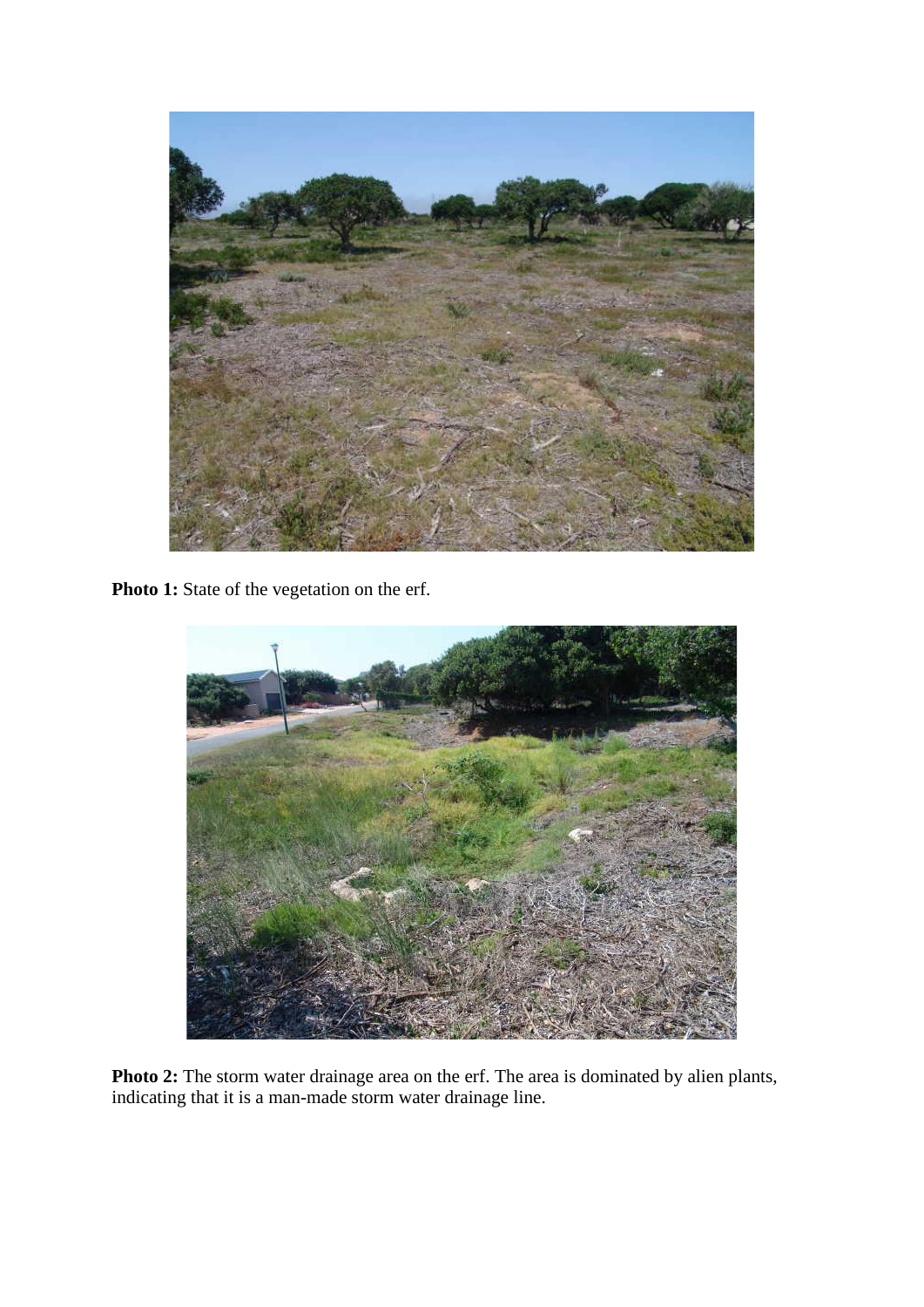

Photo 1: State of the vegetation on the erf.



**Photo 2:** The storm water drainage area on the erf. The area is dominated by alien plants, indicating that it is a man-made storm water drainage line.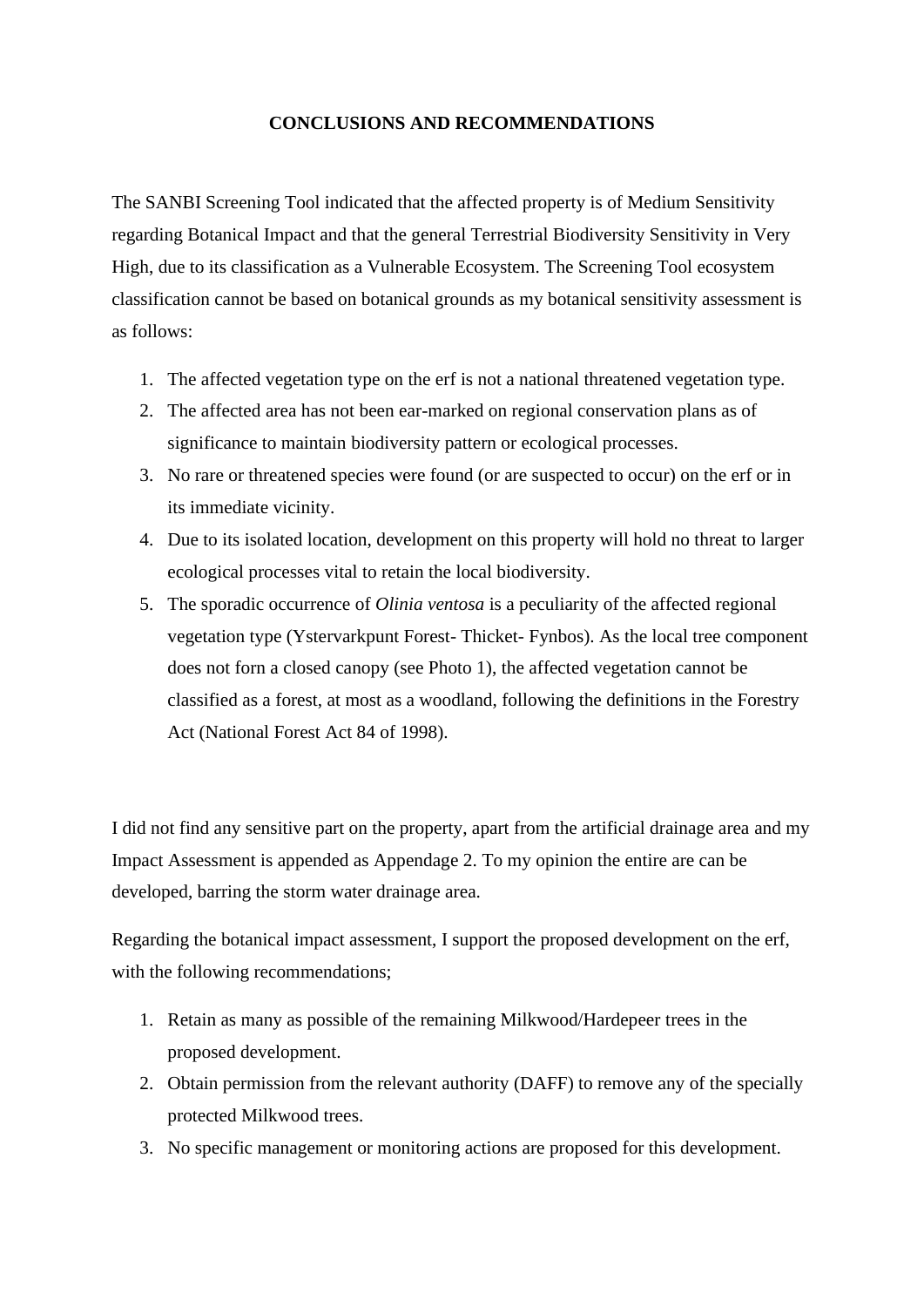#### **CONCLUSIONS AND RECOMMENDATIONS**

The SANBI Screening Tool indicated that the affected property is of Medium Sensitivity regarding Botanical Impact and that the general Terrestrial Biodiversity Sensitivity in Very High, due to its classification as a Vulnerable Ecosystem. The Screening Tool ecosystem classification cannot be based on botanical grounds as my botanical sensitivity assessment is as follows:

- 1. The affected vegetation type on the erf is not a national threatened vegetation type.
- 2. The affected area has not been ear-marked on regional conservation plans as of significance to maintain biodiversity pattern or ecological processes.
- 3. No rare or threatened species were found (or are suspected to occur) on the erf or in its immediate vicinity.
- 4. Due to its isolated location, development on this property will hold no threat to larger ecological processes vital to retain the local biodiversity.
- 5. The sporadic occurrence of *Olinia ventosa* is a peculiarity of the affected regional vegetation type (Ystervarkpunt Forest- Thicket- Fynbos). As the local tree component does not forn a closed canopy (see Photo 1), the affected vegetation cannot be classified as a forest, at most as a woodland, following the definitions in the Forestry Act (National Forest Act 84 of 1998).

I did not find any sensitive part on the property, apart from the artificial drainage area and my Impact Assessment is appended as Appendage 2. To my opinion the entire are can be developed, barring the storm water drainage area.

Regarding the botanical impact assessment, I support the proposed development on the erf, with the following recommendations;

- 1. Retain as many as possible of the remaining Milkwood/Hardepeer trees in the proposed development.
- 2. Obtain permission from the relevant authority (DAFF) to remove any of the specially protected Milkwood trees.
- 3. No specific management or monitoring actions are proposed for this development.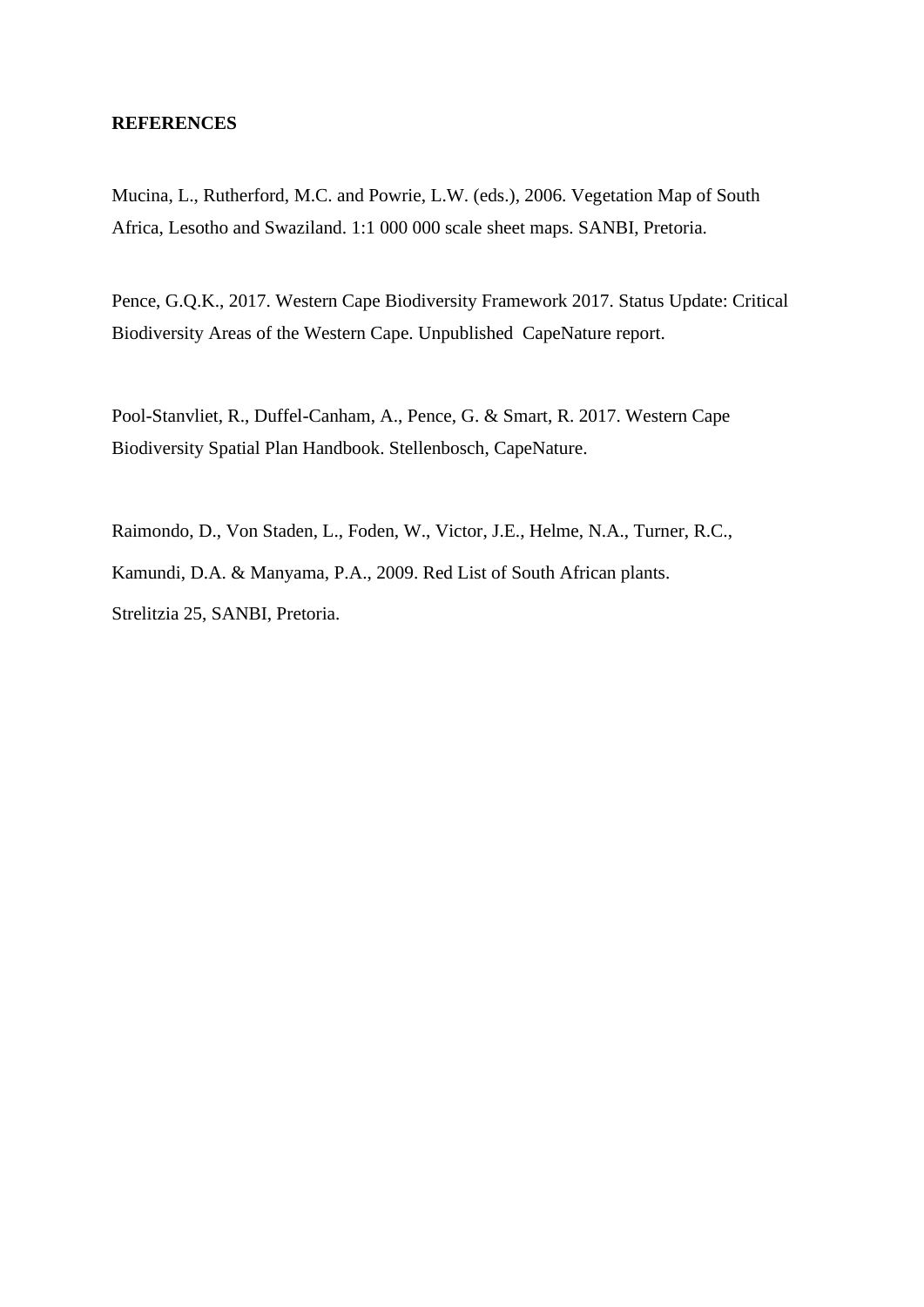#### **REFERENCES**

Mucina, L., Rutherford, M.C. and Powrie, L.W. (eds.), 2006. Vegetation Map of South Africa, Lesotho and Swaziland. 1:1 000 000 scale sheet maps. SANBI, Pretoria.

Pence, G.Q.K., 2017. Western Cape Biodiversity Framework 2017. Status Update: Critical Biodiversity Areas of the Western Cape. Unpublished CapeNature report.

Pool-Stanvliet, R., Duffel-Canham, A., Pence, G. & Smart, R. 2017. Western Cape Biodiversity Spatial Plan Handbook. Stellenbosch, CapeNature.

Raimondo, D., Von Staden, L., Foden, W., Victor, J.E., Helme, N.A., Turner, R.C., Kamundi, D.A. & Manyama, P.A., 2009. Red List of South African plants. Strelitzia 25, SANBI, Pretoria.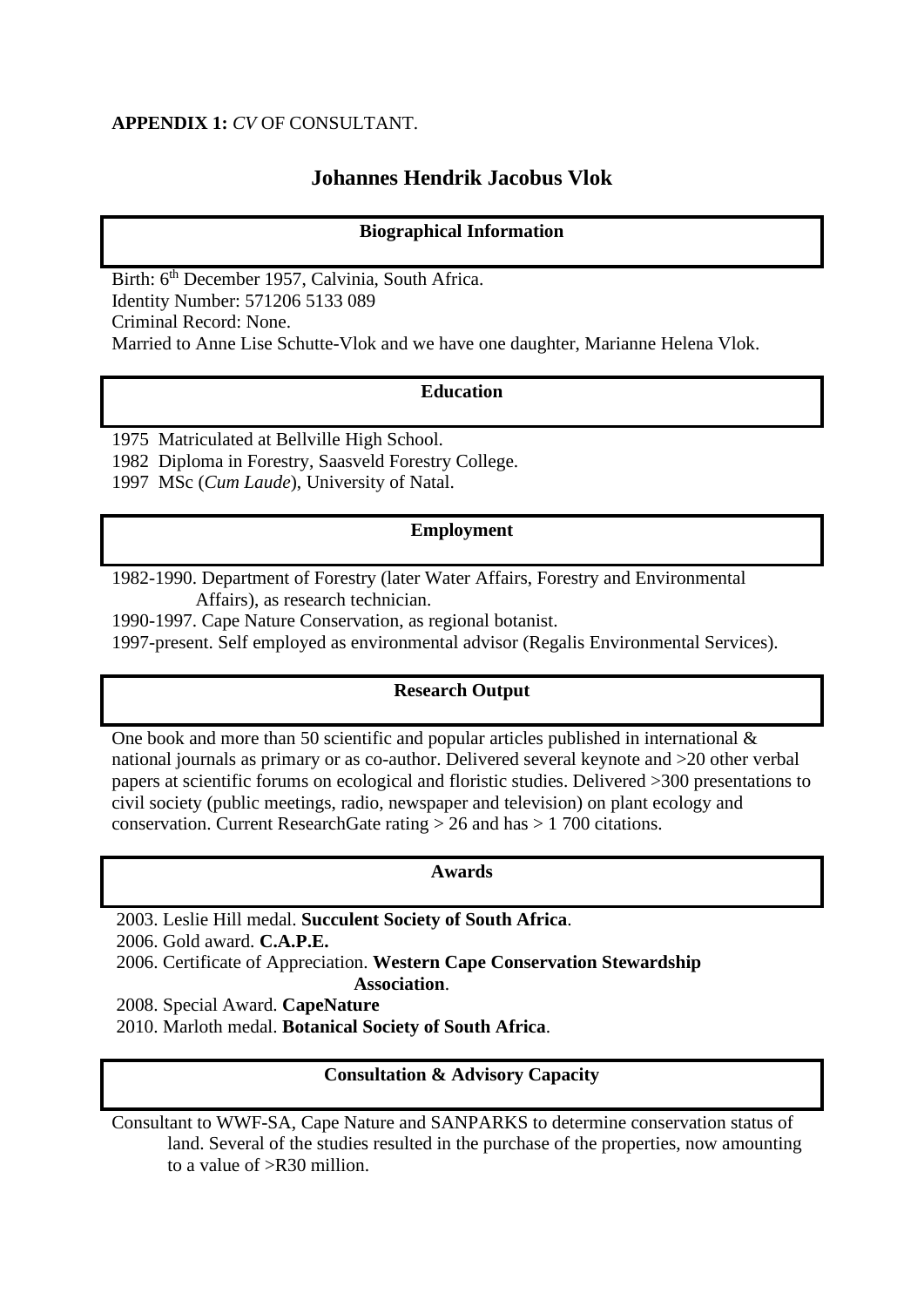## **APPENDIX 1:** *CV* OF CONSULTANT.

## **Johannes Hendrik Jacobus Vlok**

### **Biographical Information**

Birth: 6<sup>th</sup> December 1957, Calvinia, South Africa. Identity Number: 571206 5133 089 Criminal Record: None. Married to Anne Lise Schutte-Vlok and we have one daughter, Marianne Helena Vlok.

### **Education**

1975 Matriculated at Bellville High School. 1982 Diploma in Forestry, Saasveld Forestry College. 1997 MSc (*Cum Laude*), University of Natal.

#### **Employment**

1982-1990. Department of Forestry (later Water Affairs, Forestry and Environmental Affairs), as research technician.

1990-1997. Cape Nature Conservation, as regional botanist.

1997-present. Self employed as environmental advisor (Regalis Environmental Services).

#### **Research Output**

One book and more than 50 scientific and popular articles published in international  $\&$ national journals as primary or as co-author. Delivered several keynote and >20 other verbal papers at scientific forums on ecological and floristic studies. Delivered >300 presentations to civil society (public meetings, radio, newspaper and television) on plant ecology and conservation. Current ResearchGate rating > 26 and has > 1 700 citations.

#### **Awards**

2003. Leslie Hill medal. **Succulent Society of South Africa**. 2006. Gold award. **C.A.P.E.** 2006. Certificate of Appreciation. **Western Cape Conservation Stewardship Association**.

2008. Special Award. **CapeNature**

2010. Marloth medal. **Botanical Society of South Africa**.

#### **Consultation & Advisory Capacity**

Consultant to WWF-SA, Cape Nature and SANPARKS to determine conservation status of land. Several of the studies resulted in the purchase of the properties, now amounting to a value of >R30 million.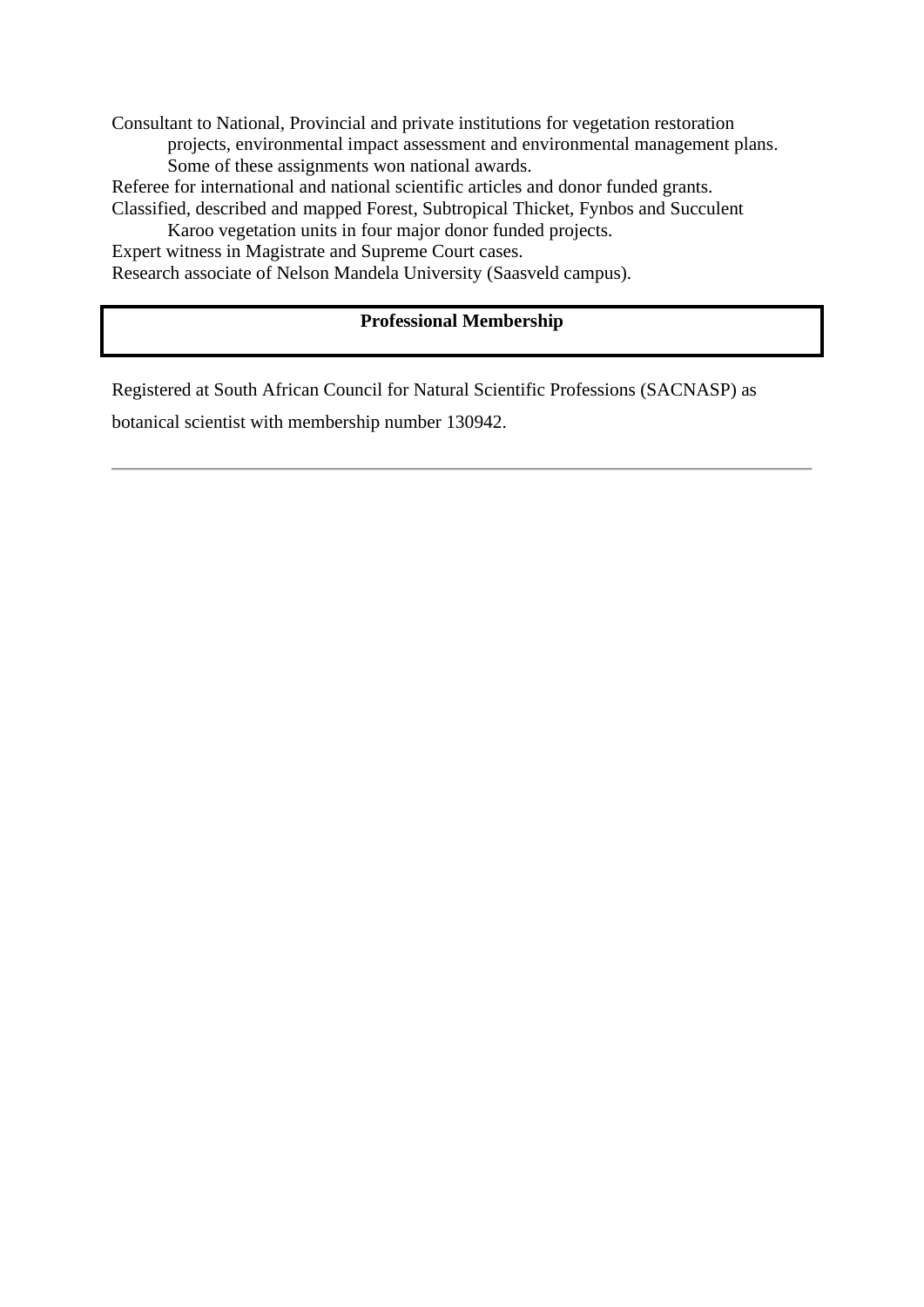Consultant to National, Provincial and private institutions for vegetation restoration projects, environmental impact assessment and environmental management plans. Some of these assignments won national awards.

Referee for international and national scientific articles and donor funded grants. Classified, described and mapped Forest, Subtropical Thicket, Fynbos and Succulent

Karoo vegetation units in four major donor funded projects.

Expert witness in Magistrate and Supreme Court cases.

Research associate of Nelson Mandela University (Saasveld campus).

## **Professional Membership**

Registered at South African Council for Natural Scientific Professions (SACNASP) as

botanical scientist with membership number 130942.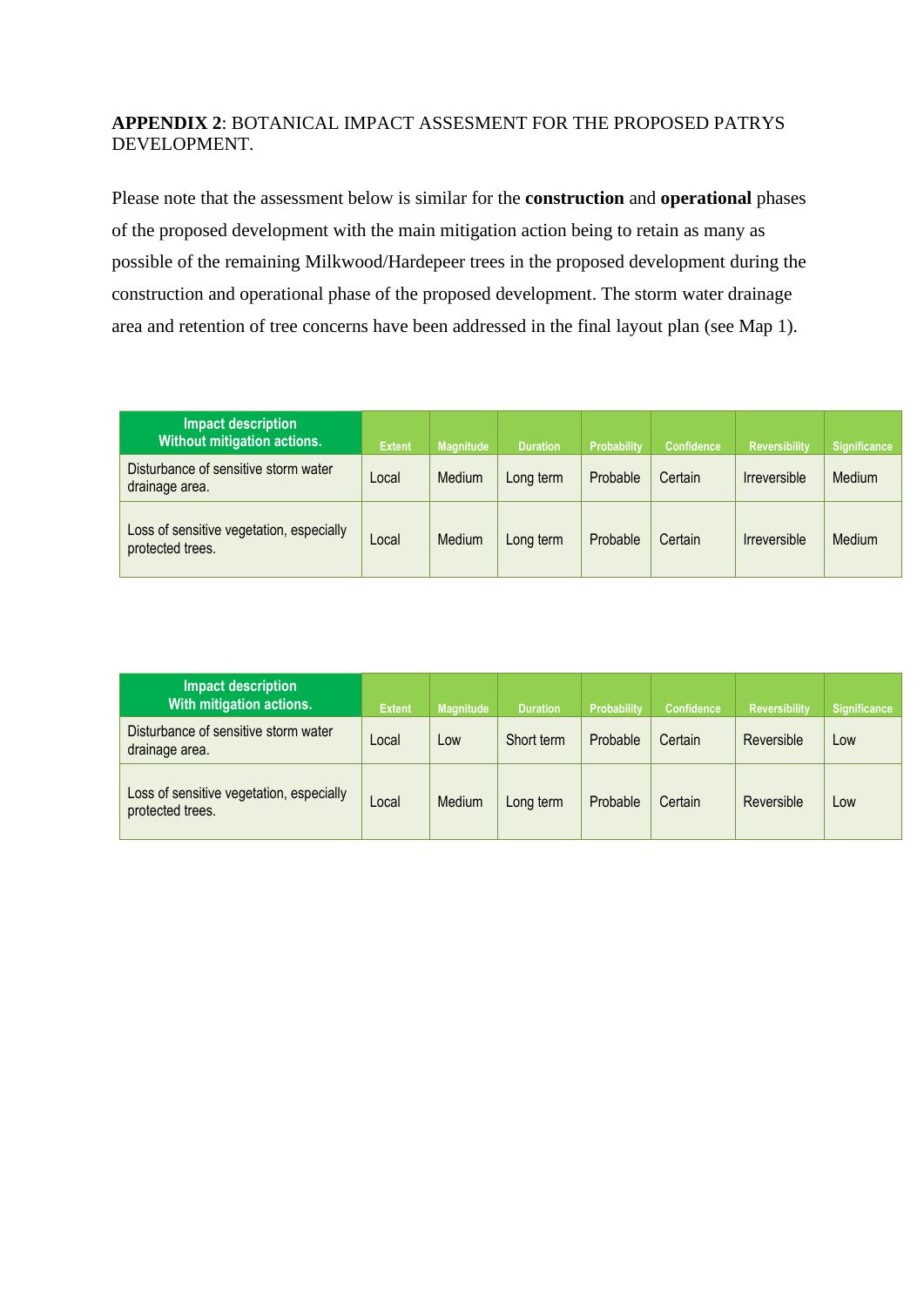## **APPENDIX 2**: BOTANICAL IMPACT ASSESMENT FOR THE PROPOSED PATRYS DEVELOPMENT.

Please note that the assessment below is similar for the **construction** and **operational** phases of the proposed development with the main mitigation action being to retain as many as possible of the remaining Milkwood/Hardepeer trees in the proposed development during the construction and operational phase of the proposed development. The storm water drainage area and retention of tree concerns have been addressed in the final layout plan (see Map 1).

| <b>Impact description</b><br>Without mitigation actions.     | <b>Extent</b> | <b>Magnitude</b> | <b>Duration</b> | Probability | <b>Confidence</b> | <b>Reversibility</b> | <b>Significance</b> |
|--------------------------------------------------------------|---------------|------------------|-----------------|-------------|-------------------|----------------------|---------------------|
| Disturbance of sensitive storm water<br>drainage area.       | Local         | Medium           | Long term       | Probable    | Certain           | Irreversible         | Medium              |
| Loss of sensitive vegetation, especially<br>protected trees. | Local         | Medium           | Long term       | Probable    | Certain           | <b>Irreversible</b>  | Medium              |

| <b>Impact description</b><br>With mitigation actions.        | <b>Extent</b> | <b>Magnitude</b> | <b>Duration</b> | <b>Probability</b> | <b>Confidence</b> | <b>Reversibility</b> | <b>Significance</b> |
|--------------------------------------------------------------|---------------|------------------|-----------------|--------------------|-------------------|----------------------|---------------------|
| Disturbance of sensitive storm water<br>drainage area.       | Local         | Low              | Short term      | Probable           | Certain           | Reversible           | Low                 |
| Loss of sensitive vegetation, especially<br>protected trees. | Local         | Medium           | Long term       | Probable           | Certain           | Reversible           | Low                 |